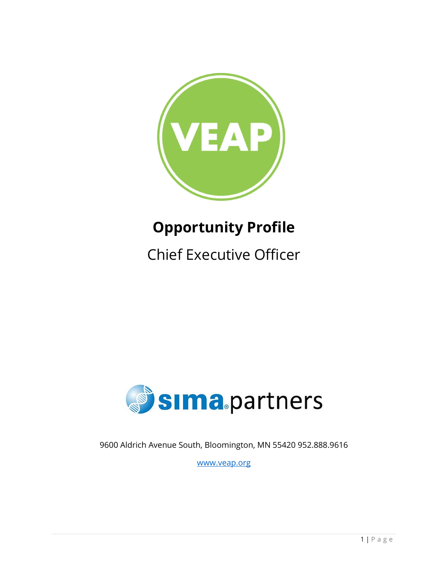

# **Opportunity Profile**

Chief Executive Officer



9600 Aldrich Avenue South, Bloomington, MN 55420 952.888.9616

[www.veap.org](http://www.veap.org/)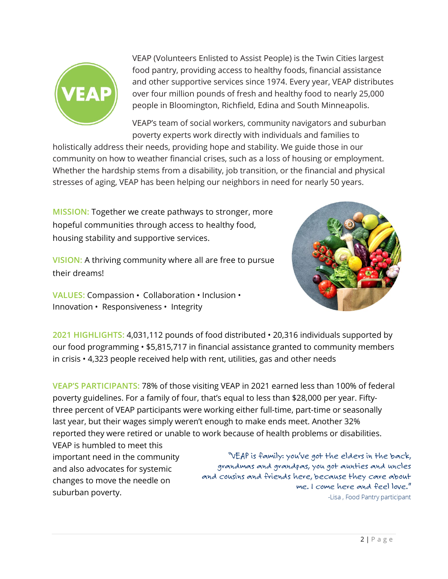

VEAP (Volunteers Enlisted to Assist People) is the Twin Cities largest food pantry, providing access to healthy foods, financial assistance and other supportive services since 1974. Every year, VEAP distributes over four million pounds of fresh and healthy food to nearly 25,000 people in Bloomington, Richfield, Edina and South Minneapolis.

VEAP's team of social workers, community navigators and suburban poverty experts work directly with individuals and families to

holistically address their needs, providing hope and stability. We guide those in our community on how to weather financial crises, such as a loss of housing or employment. Whether the hardship stems from a disability, job transition, or the financial and physical stresses of aging, VEAP has been helping our neighbors in need for nearly 50 years.

**MISSION:** Together we create pathways to stronger, more hopeful communities through access to healthy food, housing stability and supportive services.

**VISION:** A thriving community where all are free to pursue their dreams!

**VALUES:** Compassion • Collaboration • Inclusion • Innovation • Responsiveness • Integrity



**2021 HIGHLIGHTS:** 4,031,112 pounds of food distributed • 20,316 individuals supported by our food programming • \$5,815,717 in financial assistance granted to community members in crisis • 4,323 people received help with rent, utilities, gas and other needs

**VEAP'S PARTICIPANTS:** 78% of those visiting VEAP in 2021 earned less than 100% of federal poverty guidelines. For a family of four, that's equal to less than \$28,000 per year. Fiftythree percent of VEAP participants were working either full-time, part-time or seasonally last year, but their wages simply weren't enough to make ends meet. Another 32% reported they were retired or unable to work because of health problems or disabilities.

VEAP is humbled to meet this important need in the community and also advocates for systemic changes to move the needle on suburban poverty.

"VEAP is family: you've got the elders in the back, grandmas and grandpas, you got aunties and uncles and cousins and friends here, because they care about me. I come here and feel love." -Lisa, Food Pantry participant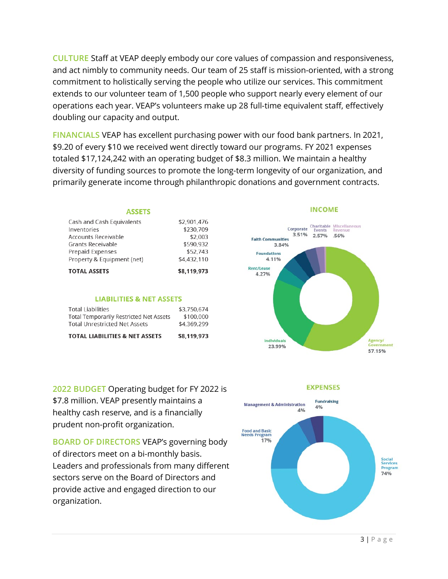**CULTURE** Staff at VEAP deeply embody our core values of compassion and responsiveness, and act nimbly to community needs. Our team of 25 staff is mission-oriented, with a strong commitment to holistically serving the people who utilize our services. This commitment extends to our volunteer team of 1,500 people who support nearly every element of our operations each year. VEAP's volunteers make up 28 full-time equivalent staff, effectively doubling our capacity and output.

**FINANCIALS** VEAP has excellent purchasing power with our food bank partners. In 2021, \$9.20 of every \$10 we received went directly toward our programs. FY 2021 expenses totaled \$17,124,242 with an operating budget of \$8.3 million. We maintain a healthy diversity of funding sources to promote the long-term longevity of our organization, and primarily generate income through philanthropic donations and government contracts.

### **ASSETS**

| <b>TOTAL ASSETS</b>        | \$8,119,973 |
|----------------------------|-------------|
| Property & Equipment (net) | \$4.432.110 |
| <b>Prepaid Expenses</b>    | \$52.743    |
| Grants Receivable          | \$590,932   |
| Accounts Receivable        | \$2,003     |
| Inventories                | \$230,709   |
| Cash and Cash Equivalents  | \$2,901,476 |

#### **LIABILITIES & NET ASSETS**

| <b>TOTAL LIABILITIES &amp; NET ASSETS</b>      | \$8.119.973 |
|------------------------------------------------|-------------|
| <b>Total Unrestricted Net Assets</b>           | \$4,369,299 |
| <b>Total Temporarily Restricted Net Assets</b> | \$100.000   |
| Total Liabilities                              | \$3.750.674 |

**2022 BUDGET** Operating budget for FY 2022 is \$7.8 million. VEAP presently maintains a healthy cash reserve, and is a financially prudent non-profit organization.

**BOARD OF DIRECTORS** VEAP's governing body of directors meet on a bi-monthly basis. Leaders and professionals from many different sectors serve on the Board of Directors and provide active and engaged direction to our organization.



**EXPENSES** 

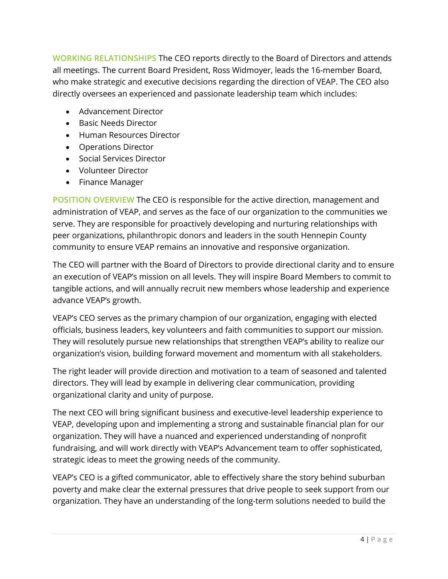**WORKING RELATIONSHIPS** The CEO reports directly to the Board of Directors and attends all meetings. The current Board President, Ross Widmoyer, leads the 16-member Board, who make strategic and executive decisions regarding the direction of VEAP. The CEO also directly oversees an experienced and passionate leadership team which includes:

- Advancement Director
- Basic Needs Director
- Human Resources Director
- Operations Director
- Social Services Director
- Volunteer Director
- Finance Manager

**POSITION OVERVIEW** The CEO is responsible for the active direction, management and administration of VEAP, and serves as the face of our organization to the communities we serve. They are responsible for proactively developing and nurturing relationships with peer organizations, philanthropic donors and leaders in the south Hennepin County community to ensure VEAP remains an innovative and responsive organization.

The CEO will partner with the Board of Directors to provide directional clarity and to ensure an execution of VEAP's mission on all levels. They will inspire Board Members to commit to tangible actions, and will annually recruit new members whose leadership and experience advance VEAP's growth.

VEAP's CEO serves as the primary champion of our organization, engaging with elected officials, business leaders, key volunteers and faith communities to support our mission. They will resolutely pursue new relationships that strengthen VEAP's ability to realize our organization's vision, building forward movement and momentum with all stakeholders.

The right leader will provide direction and motivation to a team of seasoned and talented directors. They will lead by example in delivering clear communication, providing organizational clarity and unity of purpose.

The next CEO will bring significant business and executive-level leadership experience to VEAP, developing upon and implementing a strong and sustainable financial plan for our organization. They will have a nuanced and experienced understanding of nonprofit fundraising, and will work directly with VEAP's Advancement team to offer sophisticated, strategic ideas to meet the growing needs of the community.

VEAP's CEO is a gifted communicator, able to effectively share the story behind suburban poverty and make clear the external pressures that drive people to seek support from our organization. They have an understanding of the long-term solutions needed to build the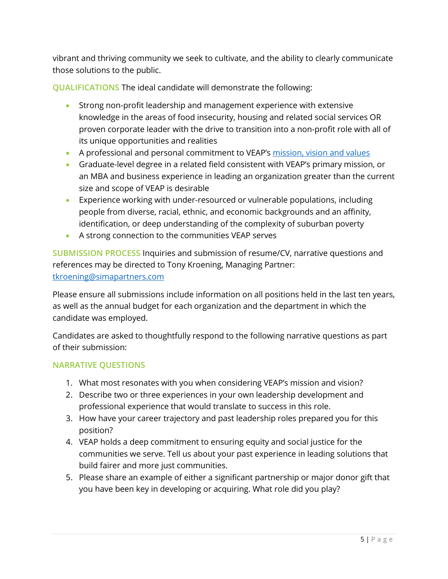vibrant and thriving community we seek to cultivate, and the ability to clearly communicate those solutions to the public.

**QUALIFICATIONS** The ideal candidate will demonstrate the following:

- Strong non-profit leadership and management experience with extensive knowledge in the areas of food insecurity, housing and related social services OR proven corporate leader with the drive to transition into a non-profit role with all of its unique opportunities and realities
- A professional and personal commitment to VEAP's [mission, vision and values](https://veap.org/about/mission-and-vision/)
- Graduate-level degree in a related field consistent with VEAP's primary mission, or an MBA and business experience in leading an organization greater than the current size and scope of VEAP is desirable
- Experience working with under-resourced or vulnerable populations, including people from diverse, racial, ethnic, and economic backgrounds and an affinity, identification, or deep understanding of the complexity of suburban poverty
- A strong connection to the communities VEAP serves

**SUBMISSION PROCESS** Inquiries and submission of resume/CV, narrative questions and references may be directed to Tony Kroening, Managing Partner: [tkroening@simapartners.com](mailto:tkroening@simapartners.com)

Please ensure all submissions include information on all positions held in the last ten years,

as well as the annual budget for each organization and the department in which the candidate was employed.

Candidates are asked to thoughtfully respond to the following narrative questions as part of their submission:

## **NARRATIVE QUESTIONS**

- 1. What most resonates with you when considering VEAP's mission and vision?
- 2. Describe two or three experiences in your own leadership development and professional experience that would translate to success in this role.
- 3. How have your career trajectory and past leadership roles prepared you for this position?
- 4. VEAP holds a deep commitment to ensuring equity and social justice for the communities we serve. Tell us about your past experience in leading solutions that build fairer and more just communities.
- 5. Please share an example of either a significant partnership or major donor gift that you have been key in developing or acquiring. What role did you play?